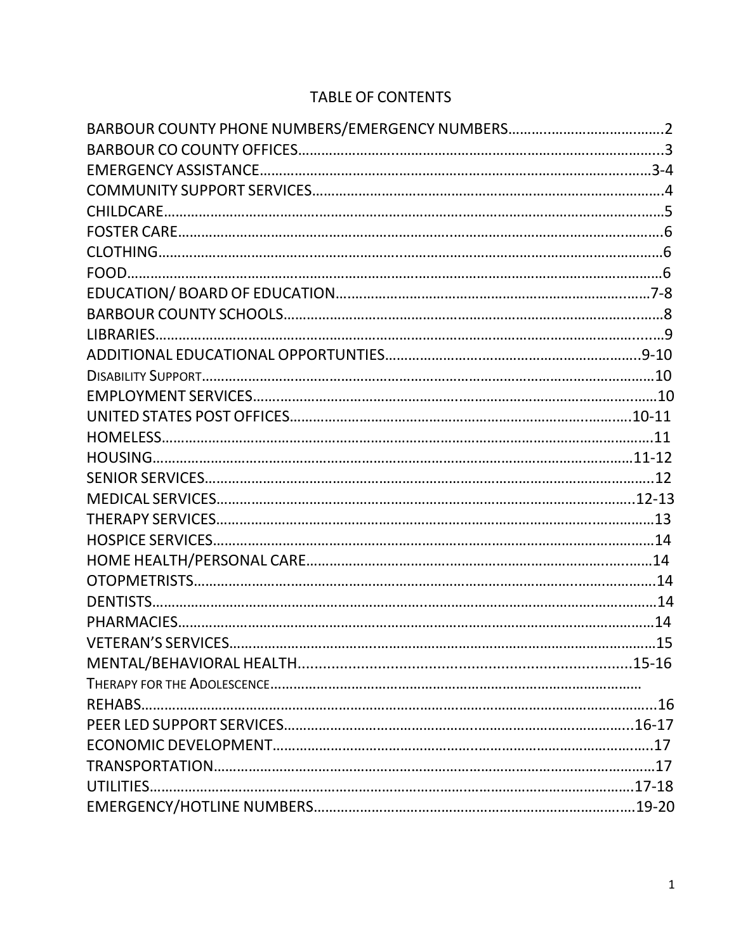# TABLE OF CONTENTS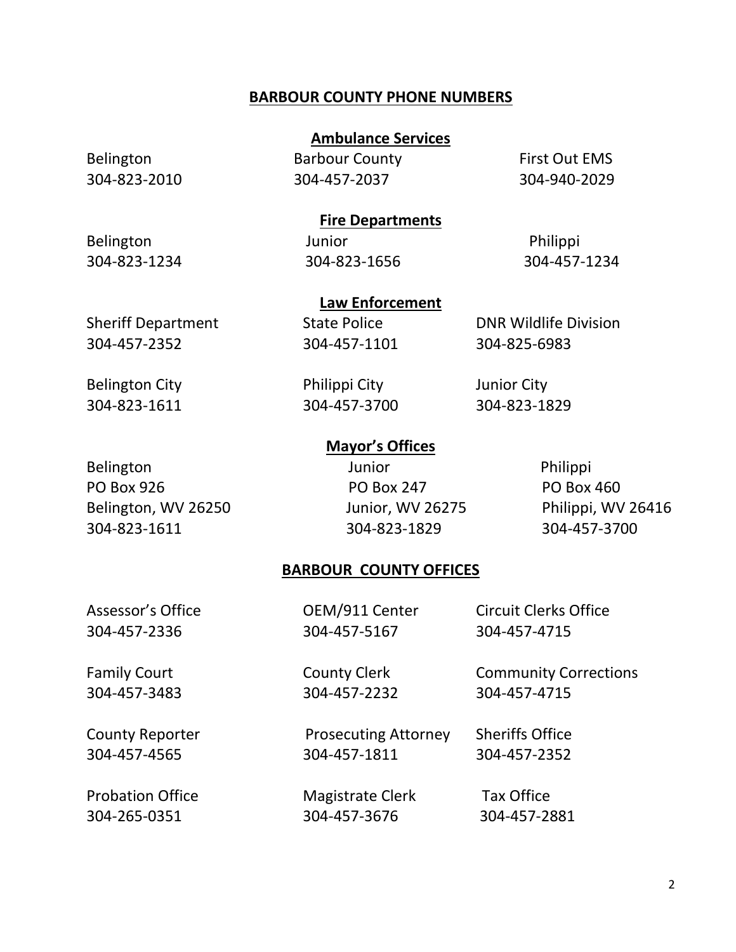# **BARBOUR COUNTY PHONE NUMBERS**

## **Ambulance Services**

Belington Barbour County First Out EMS 304-823-2010 304-457-2037 304-940-2029

# **Fire Departments**

**Law Enforcement**

Belington Junior Junior Philippi 304-823-1234 304-823-1656 304-457-1234

304-457-2352 304-457-1101 304-825-6983

Sheriff Department State Police **DNR Wildlife Division** 

Belington City **Philippi City** Junior City 304-823-1611 304-457-3700 304-823-1829

# **Mayor's Offices**

PO Box 926 PO Box 247 PO Box 460 Belington, WV 26250 Junior, WV 26275 Philippi, WV 26416 304-823-1611 304-823-1829 304-457-3700

Belington **Disk and American** Junior **Philippi** 

# **BARBOUR COUNTY OFFICES**

| Assessor's Office       | OEM/911 Center              | <b>Circuit Clerks Office</b> |
|-------------------------|-----------------------------|------------------------------|
| 304-457-2336            | 304-457-5167                | 304-457-4715                 |
| <b>Family Court</b>     | <b>County Clerk</b>         | <b>Community Corrections</b> |
| 304-457-3483            | 304-457-2232                | 304-457-4715                 |
| <b>County Reporter</b>  | <b>Prosecuting Attorney</b> | <b>Sheriffs Office</b>       |
| 304-457-4565            | 304-457-1811                | 304-457-2352                 |
| <b>Probation Office</b> | <b>Magistrate Clerk</b>     | <b>Tax Office</b>            |
| 304-265-0351            | 304-457-3676                | 304-457-2881                 |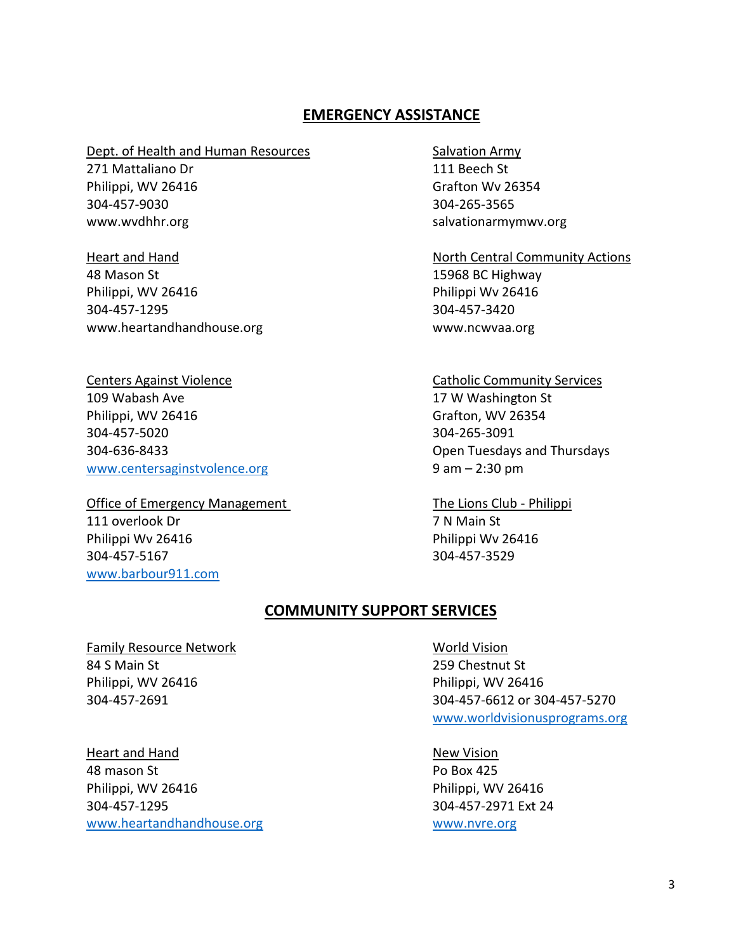# **EMERGENCY ASSISTANCE**

#### Dept. of Health and Human Resources Salvation Army

271 Mattaliano Dr 111 Beech St Philippi, WV 26416 Grafton Wv 26354 304-457-9030 304-265-3565

48 Mason St 15968 BC Highway Philippi, WV 26416 Philippi Wv 26416 304-457-1295 304-457-3420 www.heartandhandhouse.org www.ncwvaa.org

# 109 Wabash Ave 17 W Washington St Philippi, WV 26416 **Grafton**, WV 26354 304-457-5020 304-265-3091 304-636-8433 Open Tuesdays and Thursdays [www.centersaginstvolence.org](http://www.centersaginstvolence.org/) 9 am – 2:30 pm

Office of Emergency Management The Lions Club - Philippi 111 overlook Dr 7 N Main St Philippi Wv 26416 **Philippi Wv 26416** 304-457-5167 304-457-3529 [www.barbour911.com](http://www.barbour911.com/)

www.wvdhhr.org salvationarmymwv.org salvationarmymwv.org

Heart and Hand North Central Community Actions

### **Centers Against Violence** Catholic Community Services

# **COMMUNITY SUPPORT SERVICES**

Family Resource Network **World Vision** 84 S Main St 259 Chestnut St Philippi, WV 26416 Philippi, WV 26416

Heart and Hand New Yision 48 mason St Po Box 425 Philippi, WV 26416 Philippi, WV 26416 304-457-1295 304-457-2971 Ext 24 [www.heartandhandhouse.org](http://www.heartandhandhouse.org/) [www.nvre.org](http://www.nvre.org/) www.nvre.org

304-457-2691 304-457-6612 or 304-457-5270 [www.worldvisionusprograms.org](http://www.worldvisionusprograms.org/)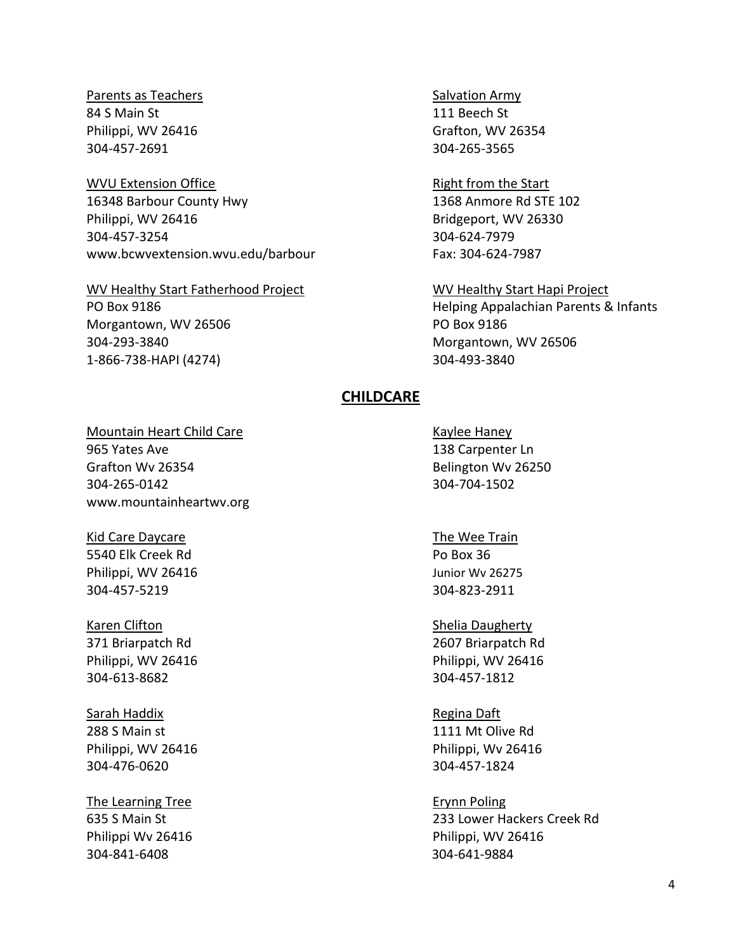Parents as Teachers Salvation Army 84 S Main St 111 Beech St Philippi, WV 26416 Grafton, WV 26354 304-457-2691 304-265-3565

WVU Extension Office Right from the Start 16348 Barbour County Hwy 1368 Anmore Rd STE 102 Philippi, WV 26416 Bridgeport, WV 26330 304-457-3254 304-624-7979 www.bcwvextension.wvu.edu/barbour Fax: 304-624-7987

WV Healthy Start Fatherhood Project WV Healthy Start Hapi Project Morgantown, WV 26506 PO Box 9186 304-293-3840 Morgantown, WV 26506 1-866-738-HAPI (4274) 304-493-3840

PO Box 9186 **Helping Appalachian Parents & Infants** 

### **CHILDCARE**

#### Mountain Heart Child Care **Kaylee Haney** Kaylee Haney

965 Yates Ave 138 Carpenter Ln Grafton Wv 26354 **Belington Wv 26250** 304-265-0142 304-704-1502 www.mountainheartwv.org

Kid Care Daycare The Wee Train 5540 Elk Creek Rd Po Box 36 Philippi, WV 26416 **Various Accord Philippi, WV 26416** Junior Wv 26275 304-457-5219 304-823-2911

304-613-8682 304-457-1812

Sarah Haddix **Regina Daft** 

304-476-0620 304-457-1824

The Learning Tree **Example 20** and the Erynn Poling Tree 304-841-6408 304-641-9884

Karen Clifton Shelia Daugherty 371 Briarpatch Rd 2607 Briarpatch Rd Philippi, WV 26416 Philippi, WV 26416

288 S Main st 1111 Mt Olive Rd Philippi, WV 26416 Philippi, WV 26416

635 S Main St 233 Lower Hackers Creek Rd Philippi Wv 26416 **Philippi** Wv 26416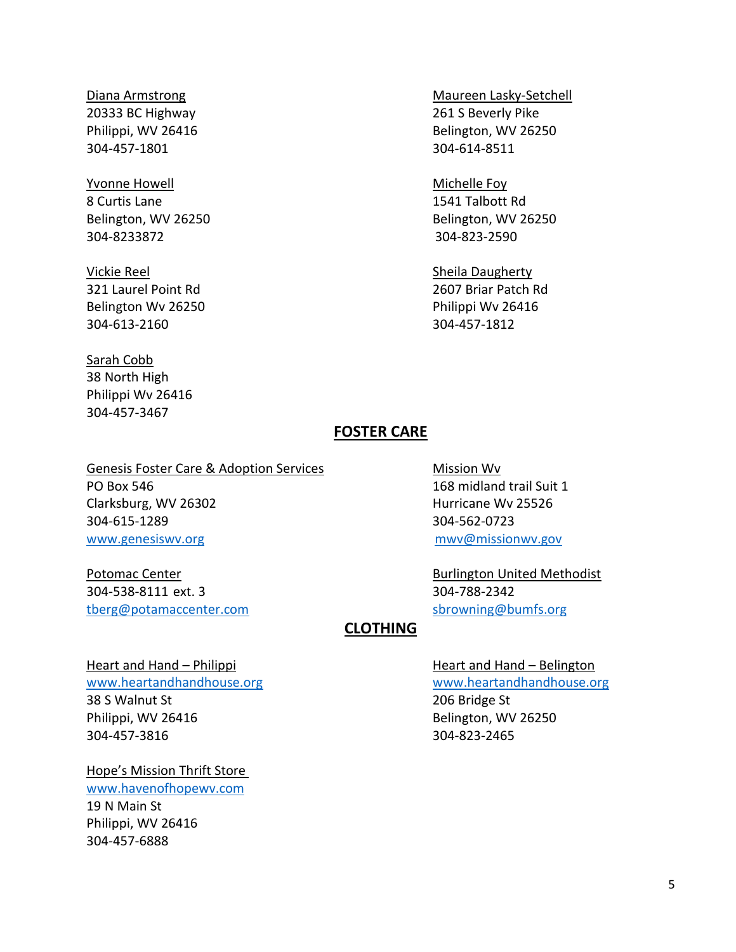# 20333 BC Highway 261 S Beverly Pike 304-457-1801 304-614-8511

Yvonne Howell **Michelle Foy** 8 Curtis Lane 1541 Talbott Rd 304-8233872 304-823-2590

Vickie Reel Nickie Reel Sheila Daugherty 321 Laurel Point Rd 2607 Briar Patch Rd Belington Wv 26250 **Philippi Wv 26416** 304-613-2160 304-457-1812

## Sarah Cobb 38 North High Philippi Wv 26416 304-457-3467

# Diana Armstrong Maureen Lasky-Setchell Philippi, WV 26416 Belington, WV 26250

Belington, WV 26250 Belington, WV 26250

# **FOSTER CARE**

Genesis Foster Care & Adoption Services Mission Wv PO Box 546 168 midland trail Suit 1 Clarksburg, WV 26302 Hurricane Wv 25526 304-615-1289 304-562-0723 [www.genesiswv.org](http://www.genesiswv.org/) [mwv@missionwv.gov](mailto:mwv@missionwv.gov)

304-538-8111 ext. 3 304-788-2342 [tberg@potamaccenter.com](mailto:tberg@potamaccenter.com) [sbrowning@bumfs.org](mailto:sbrowning@bumfs.org)

Potomac Center **Burlington United Methodist** 

# **CLOTHING**

Heart and Hand – Philippi **Heart and Hand – Belington** 38 S Walnut St 206 Bridge St Philippi, WV 26416 Belington, WV 26250 304-457-3816 304-823-2465

Hope's Mission Thrift Store [www.havenofhopewv.com](http://www.havenofhopewv.com/) 19 N Main St Philippi, WV 26416 304-457-6888

[www.heartandhandhouse.org](http://www.heartandhandhouse.org/) [www.heartandhandhouse.org](http://www.heartandhandhouse.org/)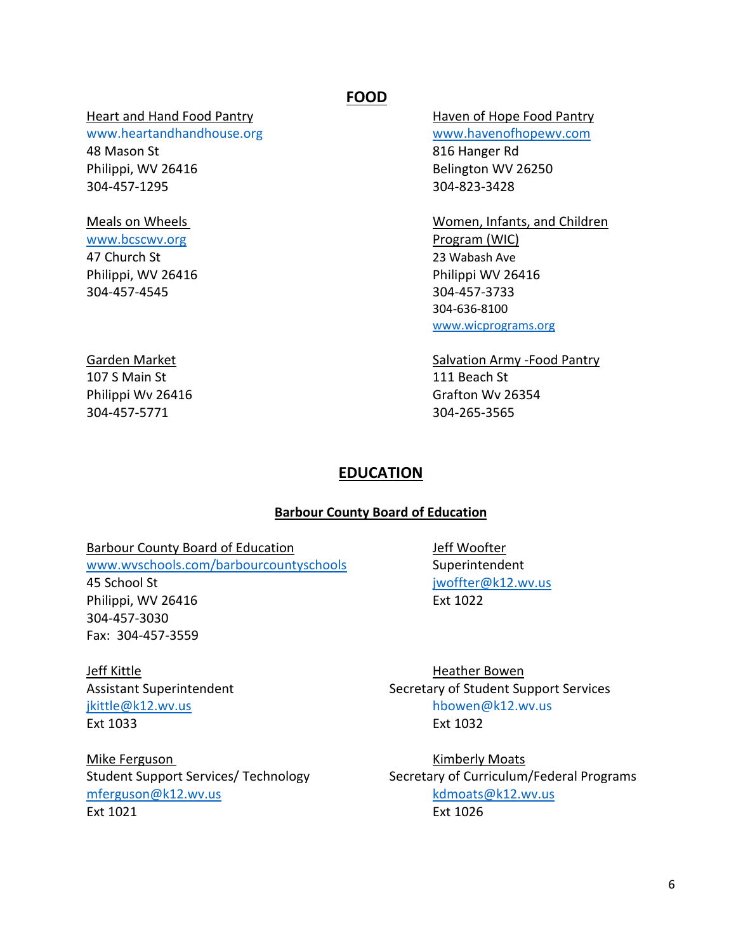#### Heart and Hand Food Pantry **Haven of Hope Food Pantry**

[www.heartandhandhouse.org](http://www.heartandhandhouse.org/) [www.havenofhopewv.com](http://www.havenofhopewv.com/) 48 Mason St 816 Hanger Rd Philippi, WV 26416 Belington WV 26250 304-457-1295 304-823-3428

[www.bcscwv.org](http://www.bcscwv.org/) **Program (WIC)** 47 Church St 23 Wabash Ave 304-457-4545 304-457-3733

107 S Main St 107 S Main St 304-457-5771 304-265-3565

# **FOOD**

Meals on Wheels Women, Infants, and Children Philippi, WV 26416 Philippi WV 26416 304-636-8100 [www.wicprograms.org](http://www.wicprograms.org/)

# Garden Market **Salvation Army -Food Pantry**

Philippi Wv 26416 **Grafton Wv 26354** 

# **EDUCATION**

### **Barbour County Board of Education**

# Barbour County Board of Education and Jeff Woofter

[www.wvschools.com/barbourcountyschools](http://www.wvschools.com/barbourcountyschools) Superintendent 45 School St [jwoffter@k12.wv.us](mailto:jwoffter@k12.wv.us)

Philippi, WV 26416 **Ext 1022** 304-457-3030 Fax: 304-457-3559

Jeff Kittle **Heather Bowen** Ext 1033 Ext 1032

Mike Ferguson Numberly Moats [mferguson@k12.wv.us](mailto:mferguson@k12.wv.us) [kdmoats@k12.wv.us](mailto:kdmoats@k12.wv.us) Ext 1021 Ext 1026

Assistant Superintendent Support Secretary of Student Support Services [jkittle@k12.wv.us](mailto:jkittle@k12.wv.us) hbowen@k12.wv.us

Student Support Services/ Technology Secretary of Curriculum/Federal Programs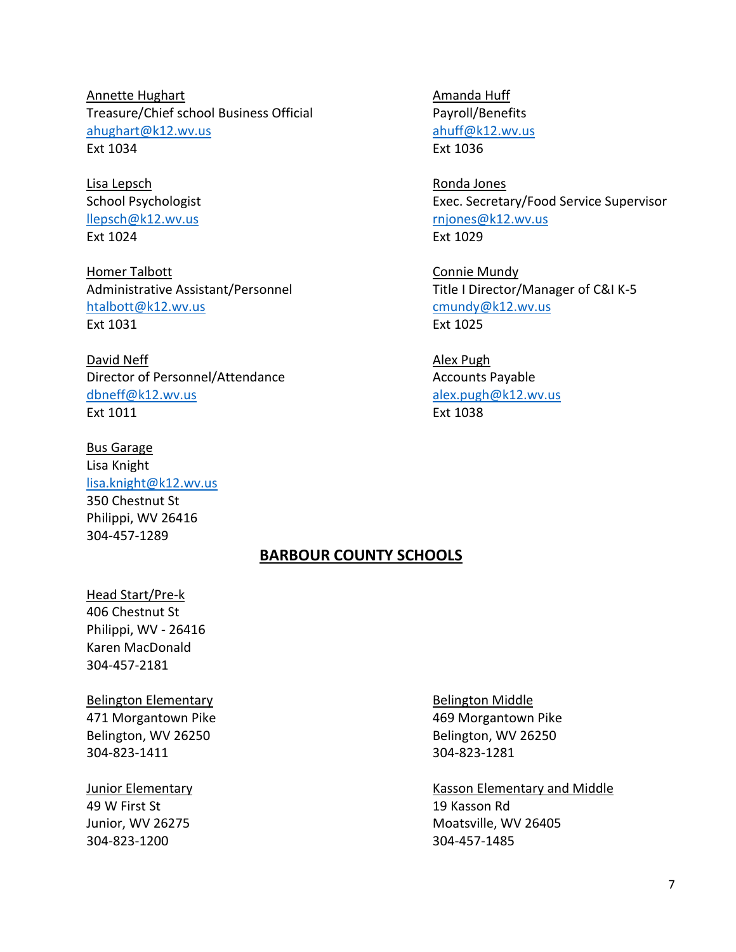Annette Hughart **Amanda Huff** Treasure/Chief school Business Official Payroll/Benefits [ahughart@k12.wv.us](mailto:ahughart@k12.wv.us) ahuff@k12.wv.us Ext 1034 Ext 1036

Lisa Lepsch Ronda Jones Ext 1024 Ext 1029

Homer Talbott **Connie Mundy** Administrative Assistant/Personnel Title I Director/Manager of C&I K-5 [htalbott@k12.wv.us](mailto:htalbott@k12.wv.us) [cmundy@k12.wv.us](mailto:cmundy@k12.wv.us) Ext 1031 Ext 1025

David Neff **Alex Pugh** Director of Personnel/Attendance Accounts Payable [dbneff@k12.wv.us](mailto:dbneff@k12.wv.us) [alex.pugh@k12.wv.us](mailto:alex.pugh@k12.wv.us) Ext 1011 Ext 1038

Bus Garage Lisa Knight [lisa.knight@k12.wv.us](mailto:lisa.knight@k12.wv.us) 350 Chestnut St Philippi, WV 26416 304-457-1289

School Psychologist **Exec.** Secretary/Food Service Supervisor [llepsch@k12.wv.us](mailto:llepsch@k12.wv.us) [rnjones@k12.wv.us](mailto:rnjones@k12.wv.us)

### **BARBOUR COUNTY SCHOOLS**

Head Start/Pre-k 406 Chestnut St Philippi, WV - 26416 Karen MacDonald 304-457-2181

Belington Elementary **Belington Middle** 471 Morgantown Pike 469 Morgantown Pike Belington, WV 26250 Belington, WV 26250 304-823-1411 304-823-1281

49 W First St 19 Kasson Rd

Junior Elementary **Kasson Elementary and Middle** Sunior Elementary and Middle Junior, WV 26275 Moatsville, WV 26405 304-823-1200 304-457-1485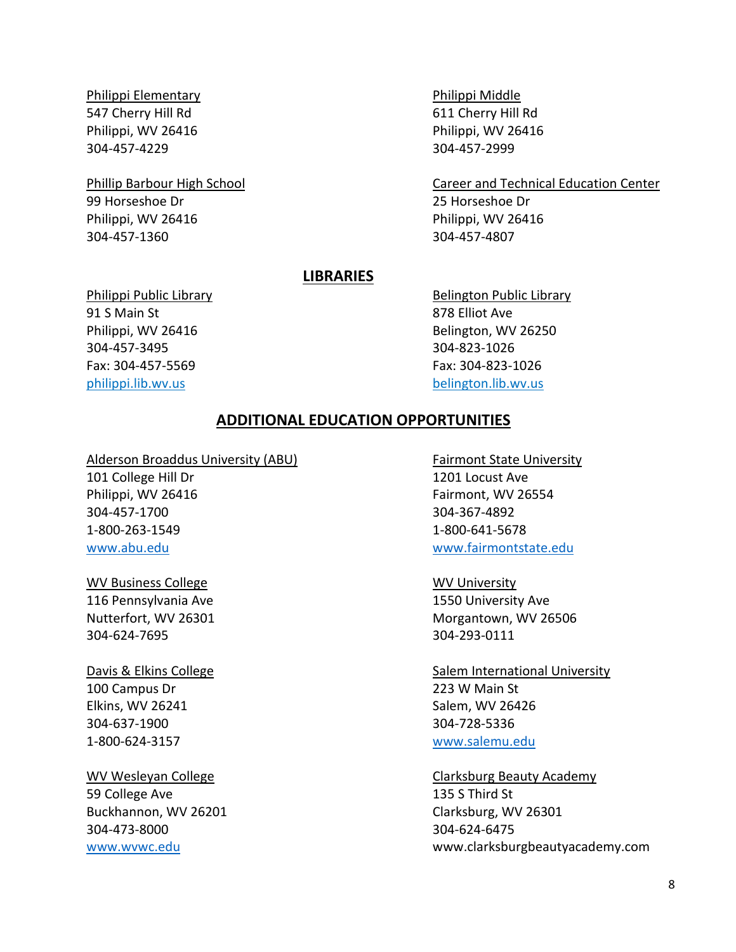Philippi Elementary Philippi Middle 547 Cherry Hill Rd 611 Cherry Hill Rd Philippi, WV 26416 Philippi, WV 26416 304-457-4229 304-457-2999

99 Horseshoe Dr 25 Horseshoe Dr Philippi, WV 26416 Philippi, WV 26416 304-457-1360 304-457-4807

Phillip Barbour High School Career and Technical Education Center

#### **LIBRARIES**

example 31 S Main St 878 Elliot Ave Philippi, WV 26416 Belington, WV 26250 304-457-3495 304-823-1026 Fax: 304-457-5569 Fax: 304-823-1026 philippi.lib.wv.us belington.lib.wv.us

Philippi Public Library **Belington Public Library** Belington Public Library

#### **ADDITIONAL EDUCATION OPPORTUNITIES**

Alderson Broaddus University (ABU) Fairmont State University

101 College Hill Dr 1201 Locust Ave Philippi, WV 26416 **Fairmont**, WV 26554 304-457-1700 304-367-4892 1-800-263-1549 1-800-641-5678

WV Business College No. 2006 No. 2012 12:00:00 NV University 116 Pennsylvania Ave 1550 University Ave 304-624-7695 304-293-0111

100 Campus Dr 223 W Main St Elkins, WV 26241 Salem, WV 26426 304-637-1900 304-728-5336 1-800-624-3157 [www.salemu.edu](http://www.salemu.edu/)

59 College Ave 2012 135 S Third St Buckhannon, WV 26201 Clarksburg, WV 26301 304-473-8000 304-624-6475

[www.abu.edu](http://www.abu.edu/) [www.fairmontstate.edu](http://www.fairmontstate.edu/)

Nutterfort, WV 26301 Morgantown, WV 26506

Davis & Elkins College Salem International University

WV Wesleyan College College Clarksburg Beauty Academy [www.wvwc.edu](http://www.wvwc.edu/) www.clarksburgbeautyacademy.com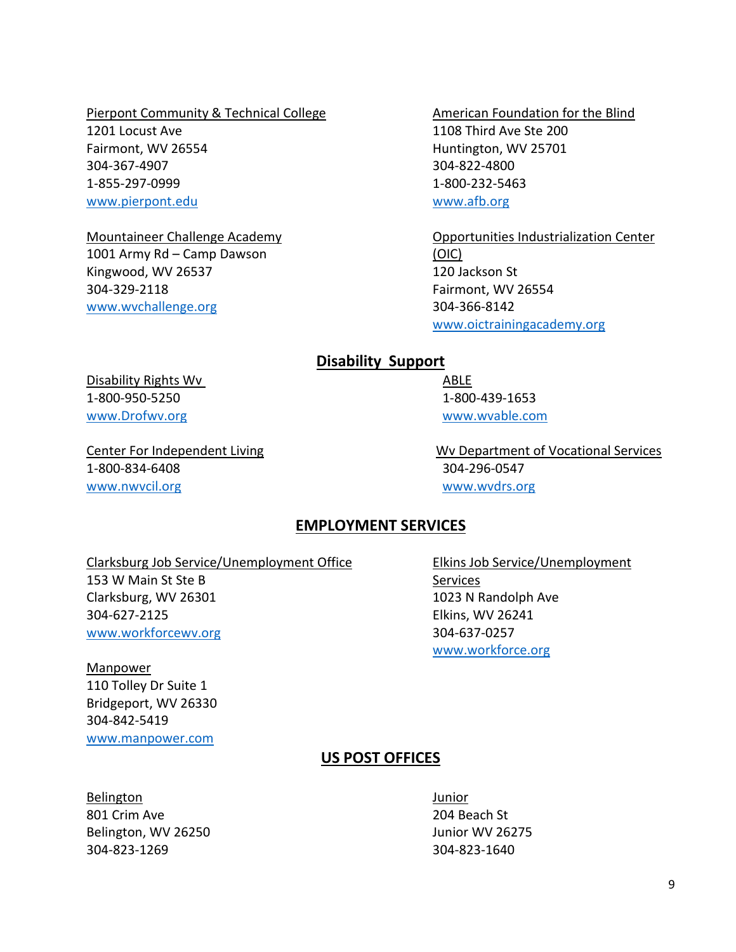Pierpont Community & Technical College American Foundation for the Blind 1201 Locust Ave 1108 Third Ave Ste 200 Fairmont, WV 26554 **Huntington, WV 25701** 304-367-4907 304-822-4800 1-855-297-0999 1-800-232-5463 [www.pierpont.edu](http://www.pierpont.edu/) [www.afb.org](http://www.afb.org/)

1001 Army Rd – Camp Dawson (OIC) Kingwood, WV 26537 120 Jackson St 304-329-2118 Fairmont, WV 26554 [www.wvchallenge.org](http://www.wvchallenge.org/) 304-366-8142

Mountaineer Challenge Academy **Challenge Academy** Opportunities Industrialization Center [www.oictrainingacademy.org](http://www.oictrainingacademy.org/)

### **Disability Support**

Disability Rights Wv **ABLE** 1-800-950-5250 1-800-439-1653 [www.Drofwv.org](http://www.drofwv.org/) [www.wvable.com](http://www.wvable.com/)

1-800-834-6408 304-296-0547 [www.nwvcil.org](http://www.nwvcil.org/) example and the state [www.wvdrs.org](http://www.wvdrs.org/) www.wvdrs.org

Center For Independent Living Theorem 2012 Center For Independent Living Theorem 2013 MV Department of Vocational Services

### **EMPLOYMENT SERVICES**

Clarksburg Job Service/Unemployment Office Elkins Job Service/Unemployment 153 W Main St Ste B Services Clarksburg, WV 26301 1023 N Randolph Ave 304-627-2125 Elkins, WV 26241 [www.workforcewv.org](http://www.workforcewv.org/) 304-637-0257

**Manpower** 

110 Tolley Dr Suite 1 Bridgeport, WV 26330 304-842-5419 [www.manpower.com](http://www.manpower.com/)

[www.workforce.org](http://www.workforce.org/)

## **US POST OFFICES**

Belington Junior 801 Crim Ave 204 Beach St Belington, WV 26250 Junior WV 26275 304-823-1269 304-823-1640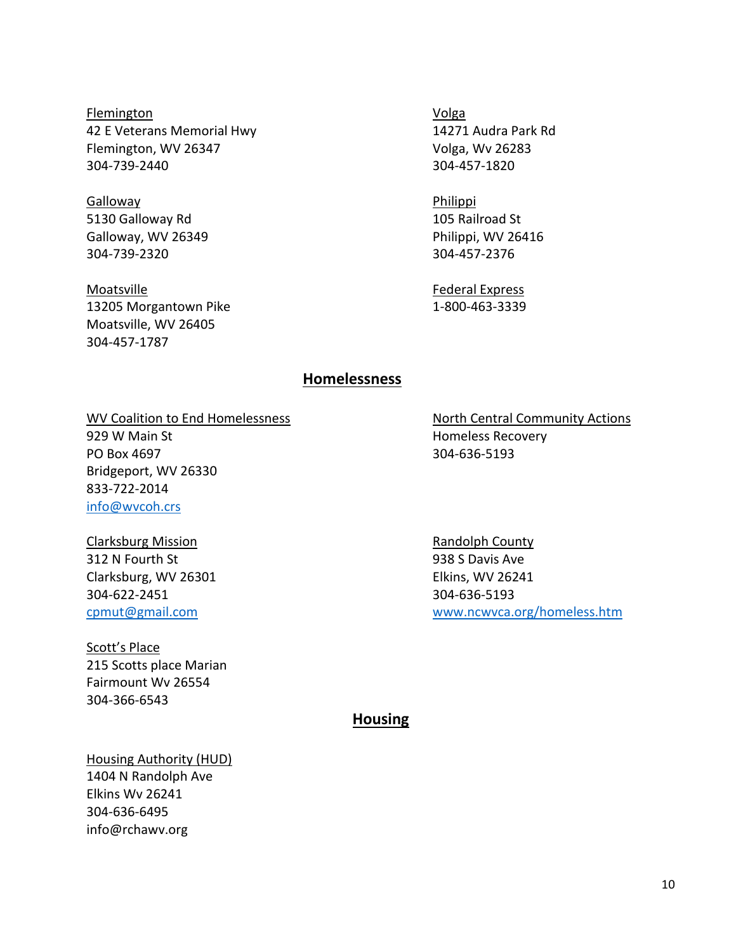Flemington Volga 42 E Veterans Memorial Hwy 14271 Audra Park Rd Flemington, WV 26347 Volga, Wv 26283 304-739-2440 304-457-1820

Galloway **Philippi** 5130 Galloway Rd 105 Railroad St Galloway, WV 26349 **Philippi, WV 26416** 304-739-2320 304-457-2376

Moatsville **Federal Express** 13205 Morgantown Pike 1-800-463-3339 Moatsville, WV 26405 304-457-1787

#### **Homelessness**

WV Coalition to End Homelessness North Central Community Actions 929 W Main St **Homeless Recovery** PO Box 4697 304-636-5193 Bridgeport, WV 26330 833-722-2014 [info@wvcoh.crs](mailto:info@wvcoh.crs)

Clarksburg Mission **Randolph County** Randolph County 312 N Fourth St 938 S Davis Ave Clarksburg, WV 26301 Elkins, WV 26241 304-622-2451 304-636-5193

Scott's Place 215 Scotts place Marian Fairmount Wv 26554 304-366-6543

[cpmut@gmail.com](mailto:cpmut@gmail.com) [www.ncwvca.org/homeless.htm](http://www.ncwvca.org/homeless.htm)

**Housing**

Housing Authority (HUD) 1404 N Randolph Ave Elkins Wv 26241 304-636-6495 info@rchawv.org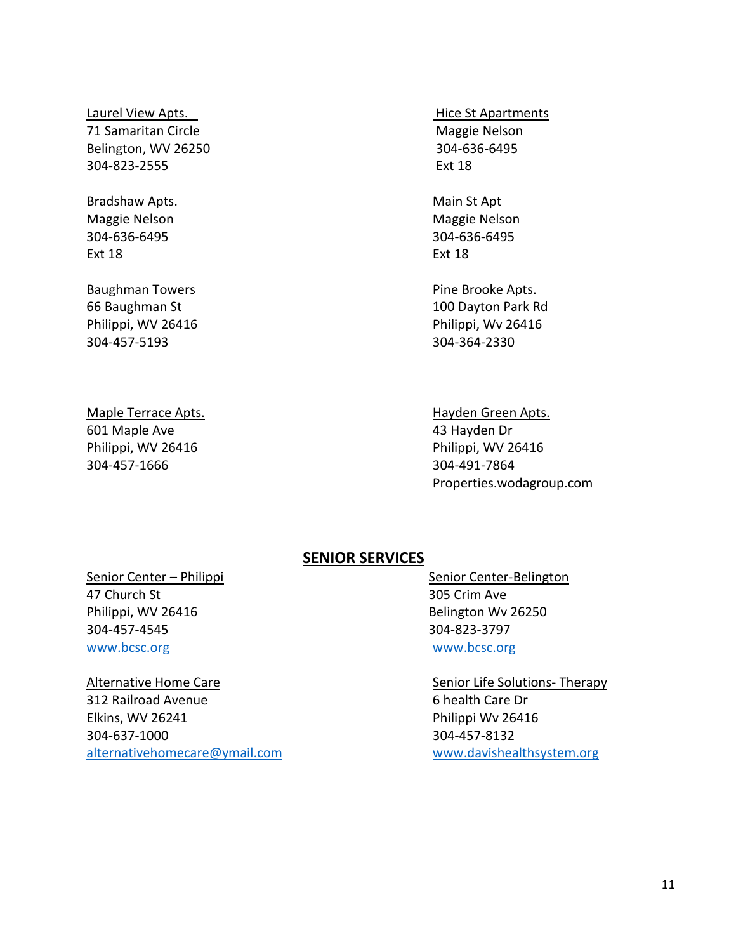### Laurel View Apts. The Contract of the Contract of Apartments Apartments 71 Samaritan Circle **Maggie Nelson** Maggie Nelson Belington, WV 26250 304-636-6495 304-823-2555 Ext 18

# Bradshaw Apts. The Contract of the Main St Apt

Ext 18 Ext 18

# Baughman Towers **Pine Brooke Apts.**

Maggie Nelson and Maggie Nelson Maggie Nelson 304-636-6495 304-636-6495

66 Baughman St 100 Dayton Park Rd Philippi, WV 26416 Philippi, WV 26416 304-457-5193 304-364-2330

# 601 Maple Ave 43 Hayden Dr Philippi, WV 26416 Philippi, WV 26416 304-457-1666 304-491-7864

# Maple Terrace Apts. Hayden Green Apts. Properties.wodagroup.com

# **SENIOR SERVICES**

47 Church St 305 Crim Ave Philippi, WV 26416 Belington Wv 26250 304-457-4545 304-823-3797 [www.bcsc.org](http://www.bcsc.org/) www.bcsc.org

# Alternative Home Care Senior Life Solutions- Therapy 312 Railroad Avenue 6 health Care Dr Elkins, WV 26241 **Philippi Wv 26416** 304-637-1000 304-457-8132 [alternativehomecare@ymail.com](mailto:alternativehomecare@ymail.com) [www.davishealthsystem.org](http://www.davishealthsystem.org/)

Senior Center – Philippi Senior Center-Belington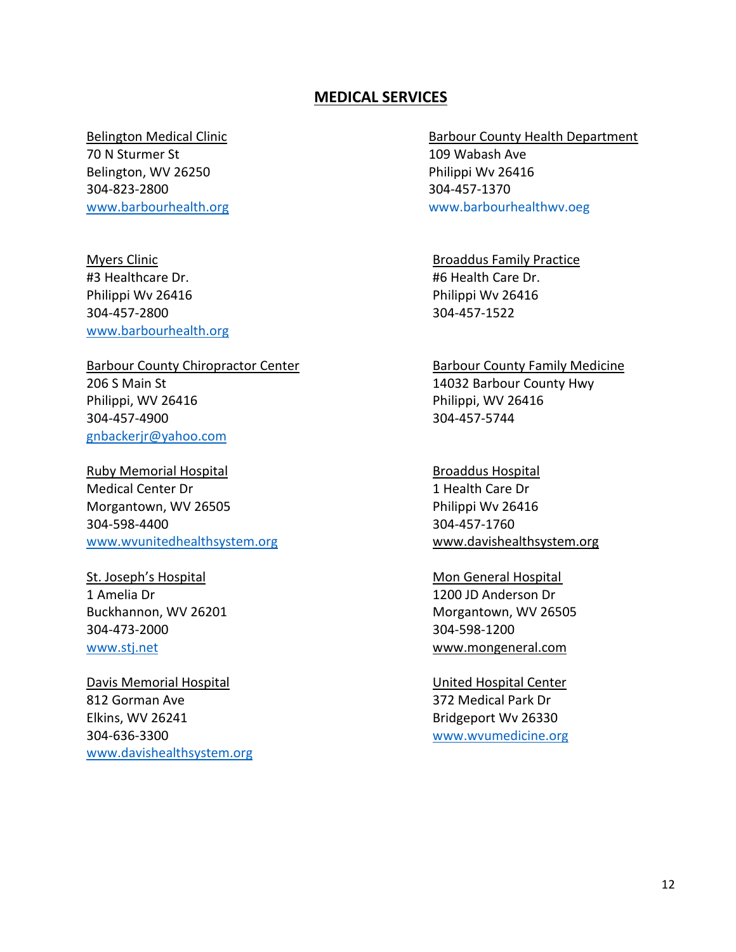### **MEDICAL SERVICES**

70 N Sturmer St 109 Wabash Ave Belington, WV 26250 **Philippi Wv 26416** 304-823-2800 304-457-1370

#3 Healthcare Dr. #6 Health Care Dr. Philippi Wv 26416 Philippi Wv 26416 304-457-2800 304-457-1522 [www.barbourhealth.org](http://www.barbourhealth.org/)

# 206 S Main St 206 S Main St Philippi, WV 26416 Philippi, WV 26416 304-457-4900 304-457-5744 [gnbackerjr@yahoo.com](mailto:gnbackerjr@yahoo.com)

Ruby Memorial Hospital Broaddus Hospital Broaddus Hospital Medical Center Dr 1 Health Care Dr Morgantown, WV 26505 **Philippi Wv 26416** 304-598-4400 304-457-1760 [www.wvunitedhealthsystem.org](http://www.wvunitedhealthsystem.org/) www.davishealthsystem.org

1 Amelia Dr 1200 JD Anderson Dr 304-473-2000 304-598-1200 [www.stj.net](http://www.stj.net/) www.mongeneral.com

Davis Memorial Hospital News Controller Center Controller United Hospital Center 812 Gorman Ave 372 Medical Park Dr Elkins, WV 26241 Bridgeport Wv 26330 304-636-3300 [www.wvumedicine.org](http://www.wvumedicine.org/) [www.davishealthsystem.org](http://www.davishealthsystem.org/)

Belington Medical Clinic **Barbour County Health Department** [www.barbourhealth.org](http://www.barbourhealth.org/) www.barbourhealthwv.oeg

Myers Clinic **Broaddus Family Practice Broaddus Family Practice** 

Barbour County Chiropractor Center **Barbour County Family Medicine** 

St. Joseph's Hospital Mon General Hospital Mon General Hospital Buckhannon, WV 26201 **Morthly Morton** Morgantown, WV 26505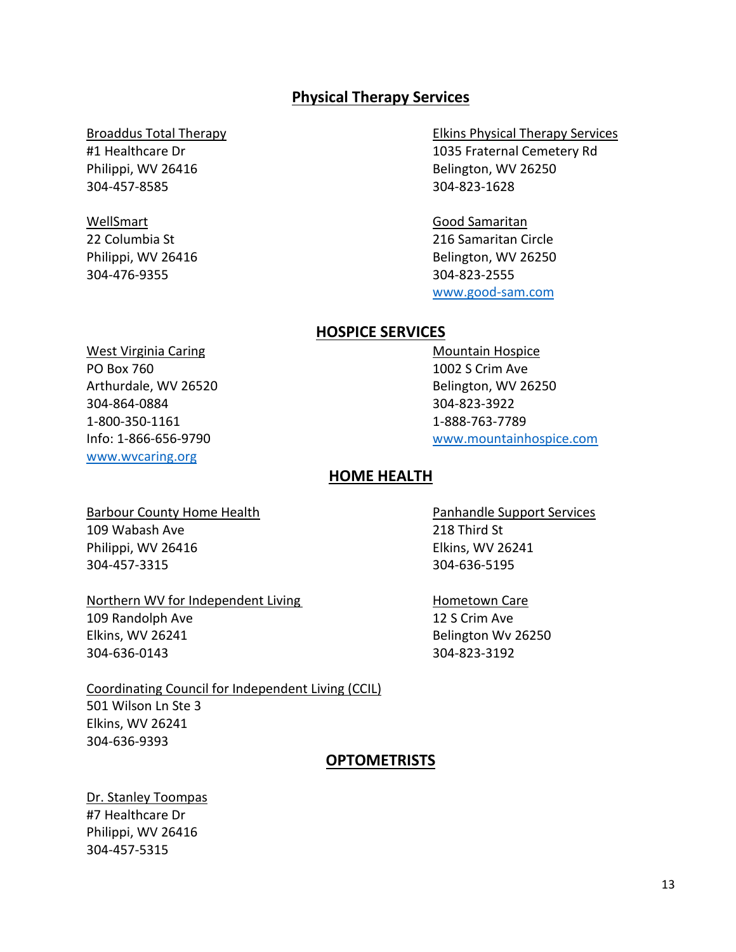# **Physical Therapy Services**

304-457-8585 304-823-1628

# WellSmart Good Samaritan 304-476-9355 304-823-2555

Broaddus Total Therapy **Elkins Physical Therapy Services** #1 Healthcare Dr 1035 Fraternal Cemetery Rd Philippi, WV 26416 Belington, WV 26250

22 Columbia St 216 Samaritan Circle Philippi, WV 26416 Belington, WV 26250 [www.good-sam.com](http://www.good-sam.com/)

# **HOSPICE SERVICES**

West Virginia Caring Mountain Hospice PO Box 760 1002 S Crim Ave Arthurdale, WV 26520 **Belington, WV 26250** 304-864-0884 304-823-3922 1-800-350-1161 1-888-763-7789 [www.wvcaring.org](http://www.wvcaring.org/)

Info: 1-866-656-9790 [www.mountainhospice.com](http://www.mountainhospice.com/)

## **HOME HEALTH**

Barbour County Home Health **Pannis County Accord Pannis Pannish Pannish Pannish Pannish Services** 109 Wabash Ave 218 Third St Philippi, WV 26416 **Elkins**, WV 26241 304-457-3315 304-636-5195

#### Northern WV for Independent Living Northern WV for Independent Living

109 Randolph Ave 12 S Crim Ave 304-636-0143 304-823-3192

Coordinating Council for Independent Living (CCIL) 501 Wilson Ln Ste 3 Elkins, WV 26241 304-636-9393

### **OPTOMETRISTS**

Dr. Stanley Toompas #7 Healthcare Dr Philippi, WV 26416 304-457-5315

Elkins, WV 26241 **Belington Wv 26250**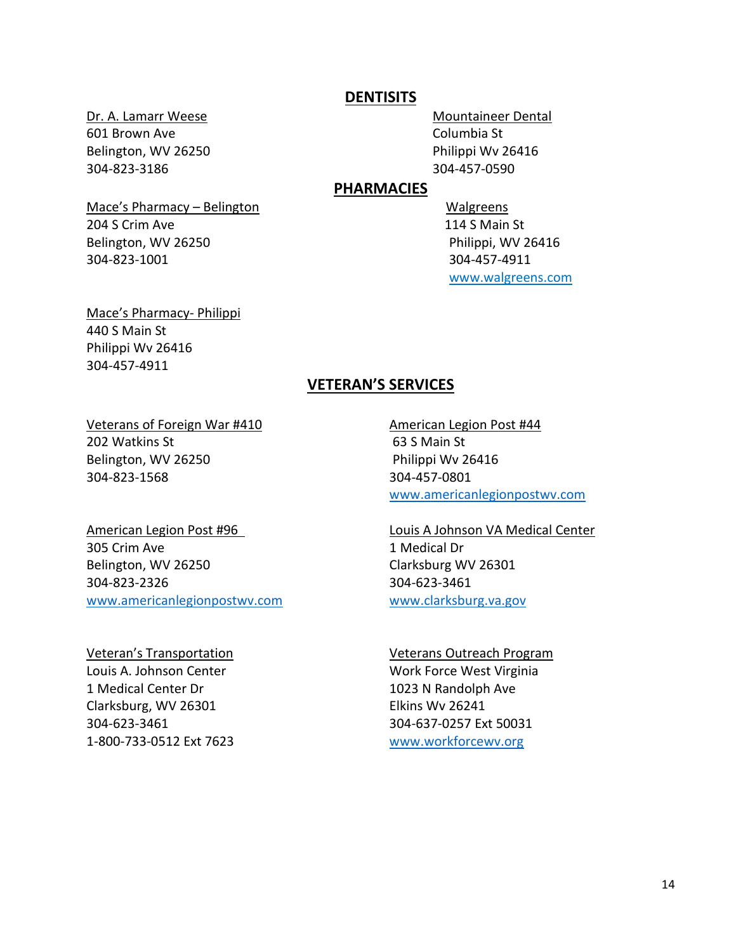### **DENTISITS**

601 Brown Ave **Columbia St Columbia St** Belington, WV 26250 **Philippi Wv 26416** 304-823-3186 304-457-0590

Dr. A. Lamarr Weese Mountaineer Dental

### **PHARMACIES**

Mace's Pharmacy – Belington Walgreens 204 S Crim Ave 204 S Crim Ave www.walgreens.com

Belington, WV 26250 **Philippi, WV 26416** 304-823-1001 304-457-4911

Mace's Pharmacy- Philippi 440 S Main St Philippi Wv 26416 304-457-4911

# **VETERAN'S SERVICES**

#### Veterans of Foreign War #410 American Legion Post #44

202 Watkins St 63 S Main St Belington, WV 26250 Philippi Wv 26416 304-823-1568 304-457-0801

305 Crim Ave 1 Medical Dr Belington, WV 26250 Clarksburg WV 26301 304-823-2326 304-623-3461 [www.americanlegionpostwv.com](http://www.americanlegionpostwv.com/) www.clarksburg.va.gov

Louis A. Johnson Center Work Force West Virginia 1 Medical Center Dr 1023 N Randolph Ave Clarksburg, WV 26301 Elkins Wv 26241 304-623-3461 304-637-0257 Ext 50031 1-800-733-0512 Ext 7623 [www.workforcewv.org](http://www.workforcewv.org/) 

[www.americanlegionpostwv.com](http://www.americanlegionpostwv.com/)

American Legion Post #96 Louis A Johnson VA Medical Center

#### Veteran's Transportation Veterans Outreach Program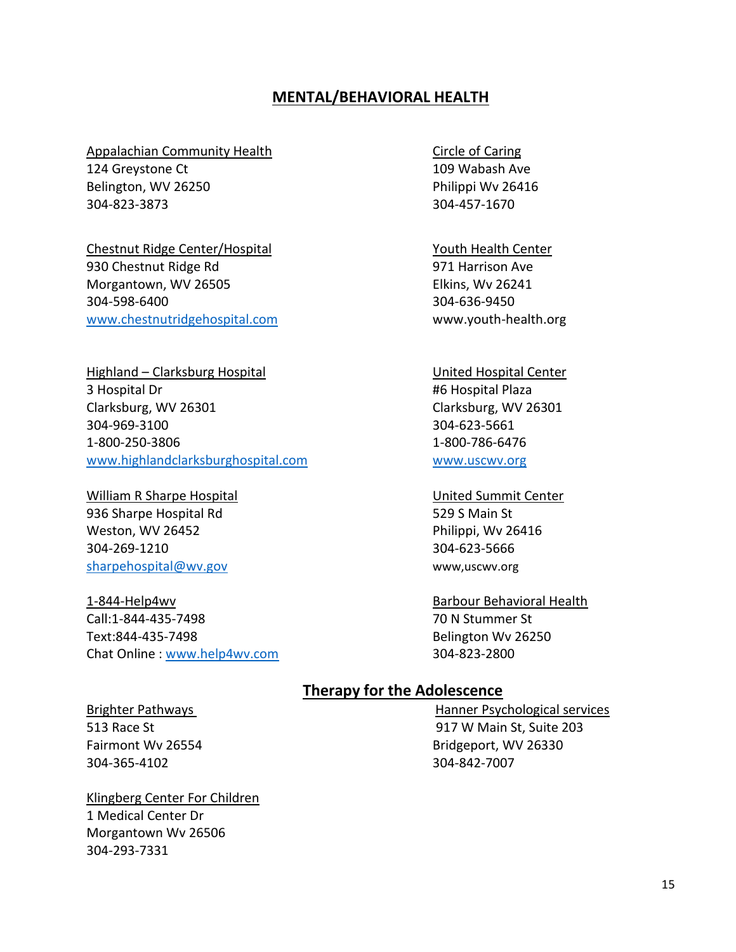# **MENTAL/BEHAVIORAL HEALTH**

#### Appalachian Community Health Circle of Caring

124 Greystone Ct 109 Wabash Ave Belington, WV 26250 **Philippi Wv 26416** 304-823-3873 304-457-1670

Chestnut Ridge Center/Hospital Vouth Health Center 930 Chestnut Ridge Rd 60 and 100 and 100 and 100 and 100 and 971 Harrison Ave Morgantown, WV 26505 **Elkins**, Wv 26241 304-598-6400 304-636-9450 [www.chestnutridgehospital.com](http://www.chestnutridgehospital.com/) www.youth-health.org

Highland – Clarksburg Hospital View Charles Control United Hospital Center 3 Hospital Dr #6 Hospital Plaza Clarksburg, WV 26301 Clarksburg, WV 26301 304-969-3100 304-623-5661 1-800-250-3806 1-800-786-6476 [www.highlandclarksburghospital.com](http://www.highlandclarksburghospital.com/) [www.uscwv.org](http://www.uscwv.org/)

William R Sharpe Hospital United Summit Center 936 Sharpe Hospital Rd 529 S Main St Weston, WV 26452 **Philippi, WV 26416** 304-269-1210 304-623-5666 [sharpehospital@wv.gov](mailto:sharpehospital@wv.gov) www,uscwv.org

1-844-Help4wv Barbour Behavioral Health Call:1-844-435-7498 70 N Stummer St Text:844-435-7498 Belington Wv 26250 Chat Online : [www.help4wv.com](http://www.help4wv.com/) 304-823-2800

# **Therapy for the Adolescence**

304-365-4102 304-842-7007

Klingberg Center For Children 1 Medical Center Dr Morgantown Wv 26506 304-293-7331

Brighter Pathways **Hanner Psychological services** 513 Race St 917 W Main St, Suite 203 Fairmont Wy 26554 **Bridgeport, WV 26330**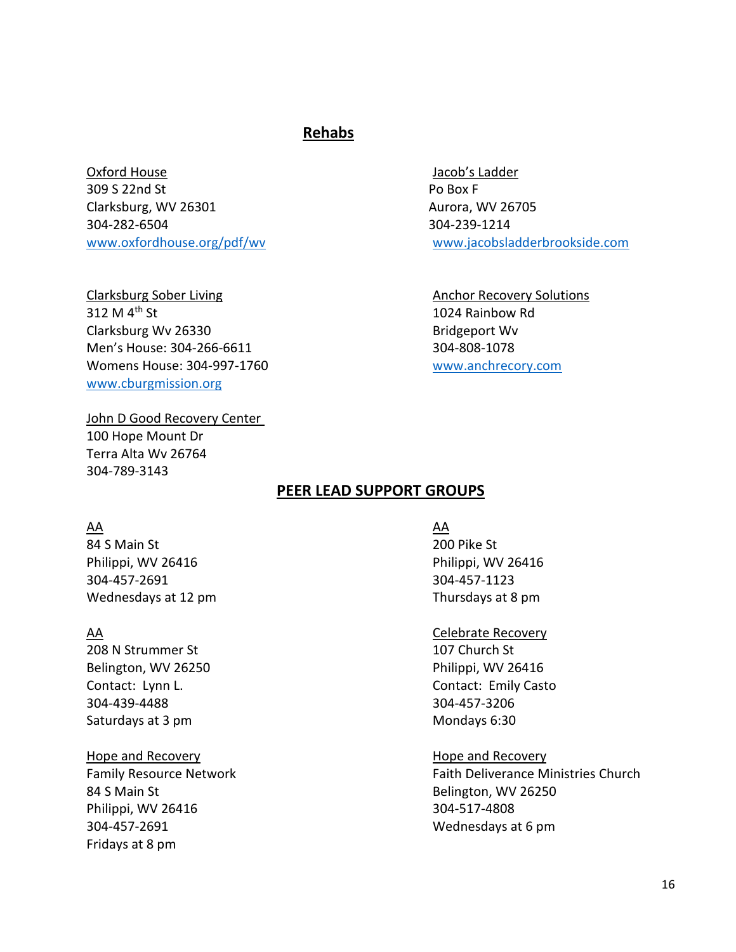# **Rehabs**

Oxford House Jacob's Ladder 309 S 22nd St Po Box F Clarksburg, WV 26301 Aurora, WV 26705 304-282-6504 304-239-1214 [www.oxfordhouse.org/pdf/wv](http://www.oxfordhouse.org/pdf/wv) [www.jacobsladderbrookside.com](http://www.jacobsladderbrookside.com/)

Clarksburg Sober Living Clarksburg Sober Living Anchor Recovery Solutions 312 M 4<sup>th</sup> St 1024 Rainbow Rd Clarksburg Wv 26330 Bridgeport Wv Men's House: 304-266-6611 304-808-1078 Womens House: 304-997-1760 [www.anchrecory.com](http://www.anchrecory.com/) [www.cburgmission.org](http://www.cburgmission.org/)

John D Good Recovery Center 100 Hope Mount Dr Terra Alta Wv 26764 304-789-3143

# **PEER LEAD SUPPORT GROUPS**

#### AA AA

84 S Main St 200 Pike St Philippi, WV 26416 Philippi, WV 26416 304-457-2691 304-457-1123 Wednesdays at 12 pm Thursdays at 8 pm

208 N Strummer St 107 Church St Belington, WV 26250 **Philippi**, WV 26416 304-439-4488 304-457-3206 Saturdays at 3 pm Mondays 6:30

Hope and Recovery **Hope and Recovery Hope and Recovery** 84 S Main St **Belington**, WV 26250 Philippi, WV 26416 304-517-4808 304-457-2691 Wednesdays at 6 pm Fridays at 8 pm

#### AA Celebrate Recovery

Contact: Lynn L. Contact: Emily Casto

Family Resource Network Family Resource Network Faith Deliverance Ministries Church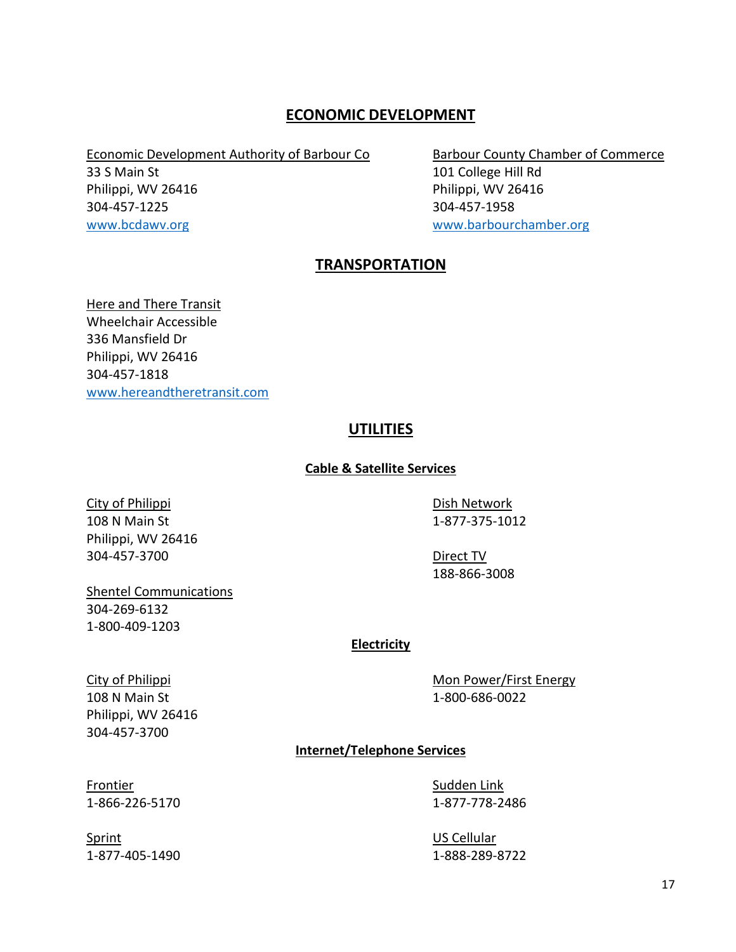# **ECONOMIC DEVELOPMENT**

Economic Development Authority of Barbour Co Barbour County Chamber of Commerce

304-457-1225 304-457-1958

33 S Main St 101 College Hill Rd Philippi, WV 26416 Philippi, WV 26416 [www.bcdawv.org](http://www.bcdawv.org/) [www.barbourchamber.org](http://www.barbourchamber.org/)

# **TRANSPORTATION**

Here and There Transit Wheelchair Accessible 336 Mansfield Dr Philippi, WV 26416 304-457-1818 [www.hereandtheretransit.com](http://www.hereandtheretransit.com/) 

# **UTILITIES**

### **Cable & Satellite Services**

City of Philippi **Dish Network** 108 N Main St 1-877-375-1012 Philippi, WV 26416 304-457-3700 Direct TV

188-866-3008

### Shentel Communications

304-269-6132 1-800-409-1203

Philippi, WV 26416 304-457-3700

### **Electricity**

City of Philippi **Mon Power/First Energy** Mon Power/First Energy 108 N Main St 1-800-686-0022

# **Internet/Telephone Services**

Sprint US Cellular

Frontier Sudden Link 1-866-226-5170 1-877-778-2486

1-877-405-1490 1-888-289-8722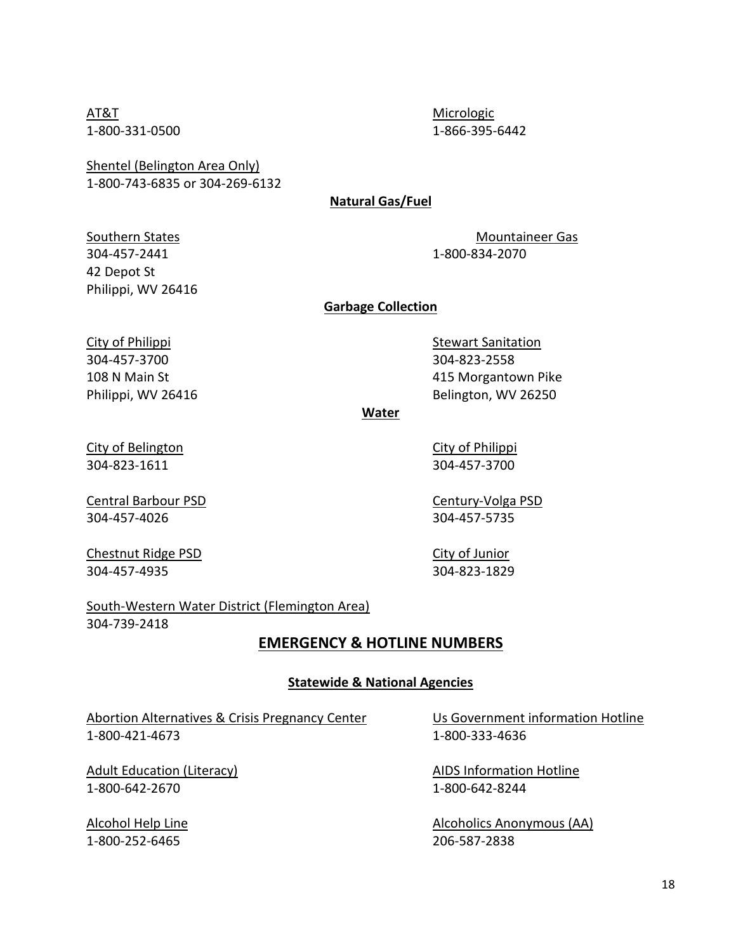AT&T Micrologic Micrologic

1-800-331-0500 1-866-395-6442

Shentel (Belington Area Only) 1-800-743-6835 or 304-269-6132

### **Natural Gas/Fuel**

304-457-2441 1-800-834-2070 42 Depot St Philippi, WV 26416

Southern States Mountaineer Gas

**Garbage Collection**

304-457-3700 304-823-2558

City of Philippi **Stewart Sanitation** Stewart Sanitation 108 N Main St 415 Morgantown Pike Philippi, WV 26416 Belington, WV 26250

**Water**

City of Belington City of Philippi 304-823-1611 304-457-3700

Central Barbour PSD Century-Volga PSD 304-457-4026 304-457-5735

Chestnut Ridge PSD City of Junior 304-457-4935 304-823-1829

South-Western Water District (Flemington Area) 304-739-2418

# **EMERGENCY & HOTLINE NUMBERS**

#### **Statewide & National Agencies**

Abortion Alternatives & Crisis Pregnancy Center Us Government information Hotline 1-800-421-4673 1-800-333-4636

Adult Education (Literacy) AIDS Information Hotline 1-800-642-2670 1-800-642-8244

1-800-252-6465 206-587-2838

Alcohol Help Line Alcoholics Anonymous (AA)